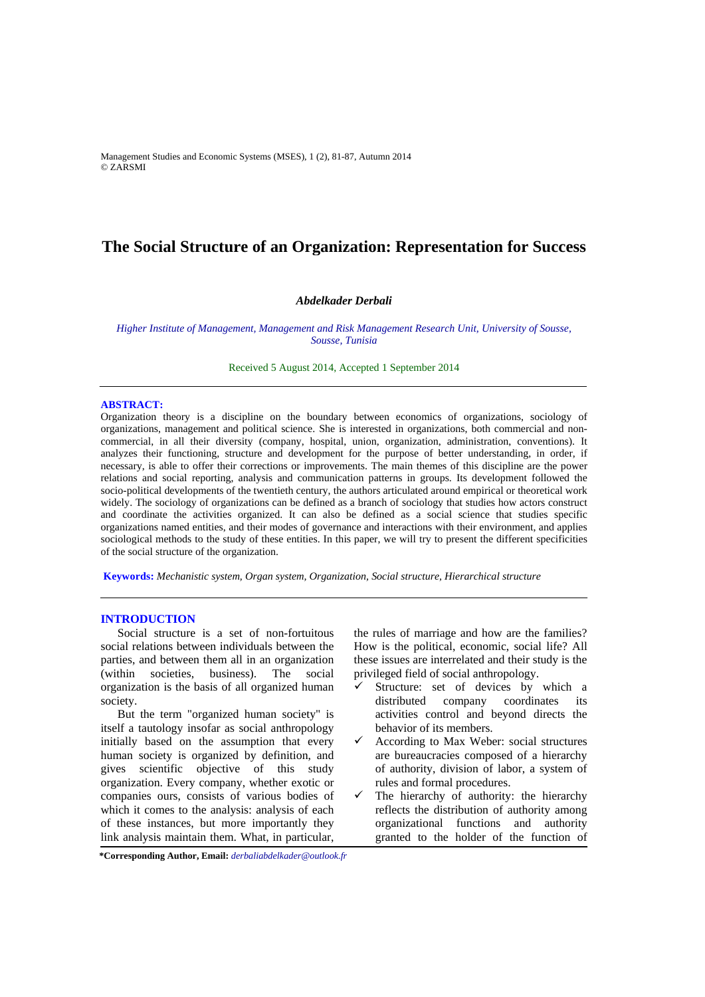Management Studies and Economic Systems (MSES), 1 (2), 81-87, Autumn 2014 © ZARSMI

# **The Social Structure of an Organization: Representation for Success**

## *Abdelkader Derbali*

*Higher Institute of Management, Management and Risk Management Research Unit, University of Sousse, Sousse, Tunisia* 

Received 5 August 2014, Accepted 1 September 2014

### **ABSTRACT:**

Organization theory is a discipline on the boundary between economics of organizations, sociology of organizations, management and political science. She is interested in organizations, both commercial and noncommercial, in all their diversity (company, hospital, union, organization, administration, conventions). It analyzes their functioning, structure and development for the purpose of better understanding, in order, if necessary, is able to offer their corrections or improvements. The main themes of this discipline are the power relations and social reporting, analysis and communication patterns in groups. Its development followed the socio-political developments of the twentieth century, the authors articulated around empirical or theoretical work widely. The sociology of organizations can be defined as a branch of sociology that studies how actors construct and coordinate the activities organized. It can also be defined as a social science that studies specific organizations named entities, and their modes of governance and interactions with their environment, and applies sociological methods to the study of these entities. In this paper, we will try to present the different specificities of the social structure of the organization.

**Keywords:** *Mechanistic system, Organ system, Organization, Social structure, Hierarchical structure*

## **INTRODUCTION**

Social structure is a set of non-fortuitous social relations between individuals between the parties, and between them all in an organization (within societies, business). The social organization is the basis of all organized human society.

But the term "organized human society" is itself a tautology insofar as social anthropology initially based on the assumption that every human society is organized by definition, and gives scientific objective of this study organization. Every company, whether exotic or companies ours, consists of various bodies of which it comes to the analysis: analysis of each of these instances, but more importantly they link analysis maintain them. What, in particular,

the rules of marriage and how are the families? How is the political, economic, social life? All these issues are interrelated and their study is the privileged field of social anthropology.

- Structure: set of devices by which a distributed company coordinates its activities control and beyond directs the behavior of its members.
- According to Max Weber: social structures are bureaucracies composed of a hierarchy of authority, division of labor, a system of rules and formal procedures.
- $\checkmark$  The hierarchy of authority: the hierarchy reflects the distribution of authority among organizational functions and authority granted to the holder of the function of

**\*Corresponding Author, Email:** *derbaliabdelkader@outlook.fr*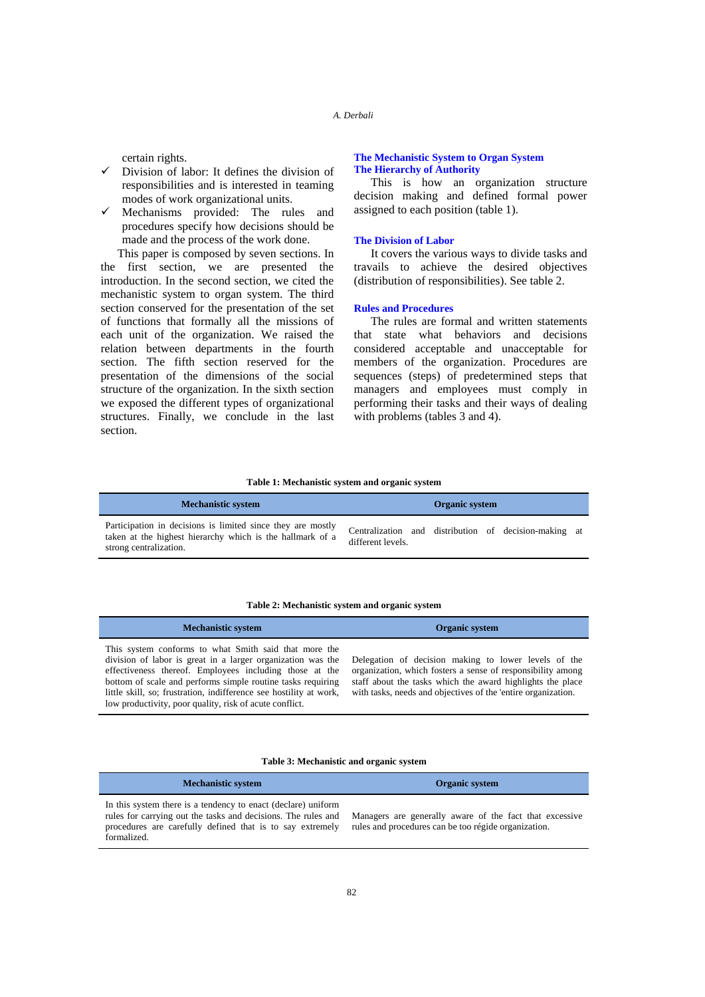certain rights.

- $\checkmark$  Division of labor: It defines the division of responsibilities and is interested in teaming modes of work organizational units.
- $\checkmark$  Mechanisms provided: The rules and procedures specify how decisions should be made and the process of the work done.

This paper is composed by seven sections. In the first section, we are presented the introduction. In the second section, we cited the mechanistic system to organ system. The third section conserved for the presentation of the set of functions that formally all the missions of each unit of the organization. We raised the relation between departments in the fourth section. The fifth section reserved for the presentation of the dimensions of the social structure of the organization. In the sixth section we exposed the different types of organizational structures. Finally, we conclude in the last section.

## **The Mechanistic System to Organ System The Hierarchy of Authority**

This is how an organization structure decision making and defined formal power assigned to each position (table 1).

## **The Division of Labor**

It covers the various ways to divide tasks and travails to achieve the desired objectives (distribution of responsibilities). See table 2.

### **Rules and Procedures**

The rules are formal and written statements that state what behaviors and decisions considered acceptable and unacceptable for members of the organization. Procedures are sequences (steps) of predetermined steps that managers and employees must comply in performing their tasks and their ways of dealing with problems (tables 3 and 4).

### **Table 1: Mechanistic system and organic system**

| <b>Mechanistic system</b>                                                                                                                          |                                                                            | Organic system |  |  |
|----------------------------------------------------------------------------------------------------------------------------------------------------|----------------------------------------------------------------------------|----------------|--|--|
| Participation in decisions is limited since they are mostly<br>taken at the highest hierarchy which is the hallmark of a<br>strong centralization. | Centralization and distribution of decision-making at<br>different levels. |                |  |  |

### **Table 2: Mechanistic system and organic system**

| <b>Mechanistic system</b>                                                                                                                                                                                                                                                                                                                                                       | <b>Organic system</b>                                                                                                                                                                                                                              |
|---------------------------------------------------------------------------------------------------------------------------------------------------------------------------------------------------------------------------------------------------------------------------------------------------------------------------------------------------------------------------------|----------------------------------------------------------------------------------------------------------------------------------------------------------------------------------------------------------------------------------------------------|
| This system conforms to what Smith said that more the<br>division of labor is great in a larger organization was the<br>effectiveness thereof. Employees including those at the<br>bottom of scale and performs simple routine tasks requiring<br>little skill, so; frustration, indifference see hostility at work,<br>low productivity, poor quality, risk of acute conflict. | Delegation of decision making to lower levels of the<br>organization, which fosters a sense of responsibility among<br>staff about the tasks which the award highlights the place<br>with tasks, needs and objectives of the 'entire organization. |

### **Table 3: Mechanistic and organic system**

| <b>Mechanistic system</b>                                                                                                                                                                                  | Organic system                                                                                                  |
|------------------------------------------------------------------------------------------------------------------------------------------------------------------------------------------------------------|-----------------------------------------------------------------------------------------------------------------|
| In this system there is a tendency to enact (declare) uniform<br>rules for carrying out the tasks and decisions. The rules and<br>procedures are carefully defined that is to say extremely<br>formalized. | Managers are generally aware of the fact that excessive<br>rules and procedures can be too régide organization. |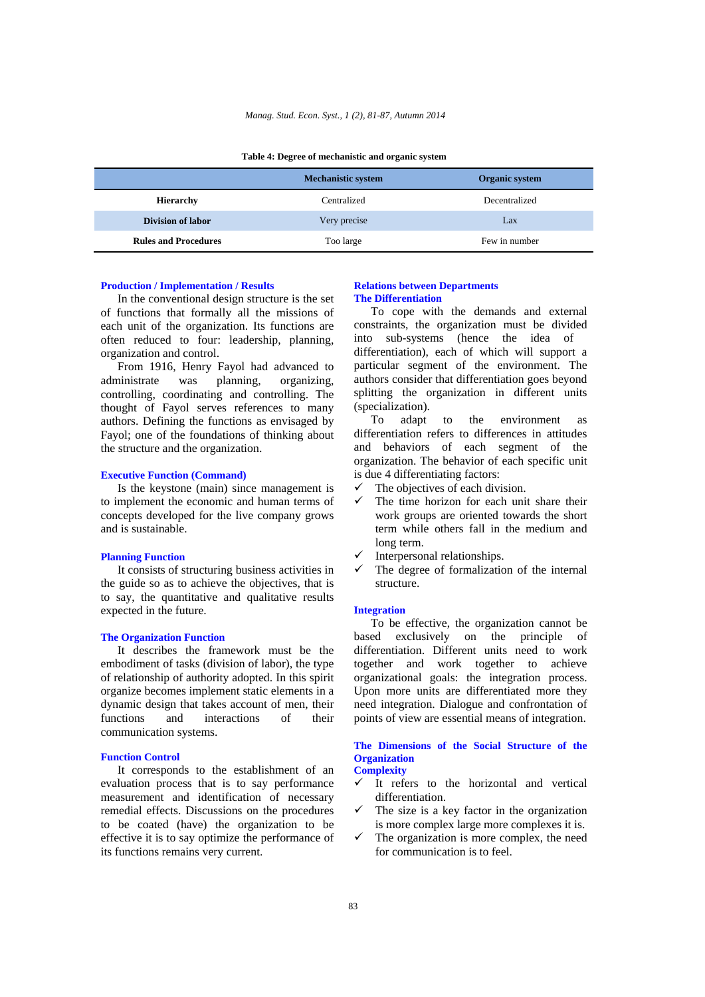|                             | <b>Mechanistic system</b> | <b>Organic system</b> |  |  |
|-----------------------------|---------------------------|-----------------------|--|--|
| <b>Hierarchy</b>            | Centralized               | Decentralized         |  |  |
| Division of labor           | Very precise              | Lax                   |  |  |
| <b>Rules and Procedures</b> | Too large                 | Few in number         |  |  |

### **Table 4: Degree of mechanistic and organic system**

### **Production / Implementation / Results**

In the conventional design structure is the set of functions that formally all the missions of each unit of the organization. Its functions are often reduced to four: leadership, planning, organization and control.

From 1916, Henry Fayol had advanced to administrate was planning, organizing, controlling, coordinating and controlling. The thought of Fayol serves references to many authors. Defining the functions as envisaged by Fayol; one of the foundations of thinking about the structure and the organization.

## **Executive Function (Command)**

Is the keystone (main) since management is to implement the economic and human terms of concepts developed for the live company grows and is sustainable.

## **Planning Function**

It consists of structuring business activities in the guide so as to achieve the objectives, that is to say, the quantitative and qualitative results expected in the future.

### **The Organization Function**

It describes the framework must be the embodiment of tasks (division of labor), the type of relationship of authority adopted. In this spirit organize becomes implement static elements in a dynamic design that takes account of men, their functions and interactions of their communication systems.

### **Function Control**

It corresponds to the establishment of an evaluation process that is to say performance measurement and identification of necessary remedial effects. Discussions on the procedures to be coated (have) the organization to be effective it is to say optimize the performance of its functions remains very current.

## **Relations between Departments The Differentiation**

To cope with the demands and external constraints, the organization must be divided into sub-systems (hence the idea of differentiation), each of which will support a particular segment of the environment. The authors consider that differentiation goes beyond splitting the organization in different units (specialization).

To adapt to the environment as differentiation refers to differences in attitudes and behaviors of each segment of the organization. The behavior of each specific unit is due 4 differentiating factors:

- The objectives of each division.
- The time horizon for each unit share their work groups are oriented towards the short term while others fall in the medium and long term.
- Interpersonal relationships.
- The degree of formalization of the internal structure.

### **Integration**

To be effective, the organization cannot be based exclusively on the principle of differentiation. Different units need to work together and work together to achieve organizational goals: the integration process. Upon more units are differentiated more they need integration. Dialogue and confrontation of points of view are essential means of integration.

## **The Dimensions of the Social Structure of the Organization**

- **Complexity**   $\checkmark$  It refers to the horizontal and vertical
- differentiation.
- The size is a key factor in the organization is more complex large more complexes it is.
- The organization is more complex, the need for communication is to feel.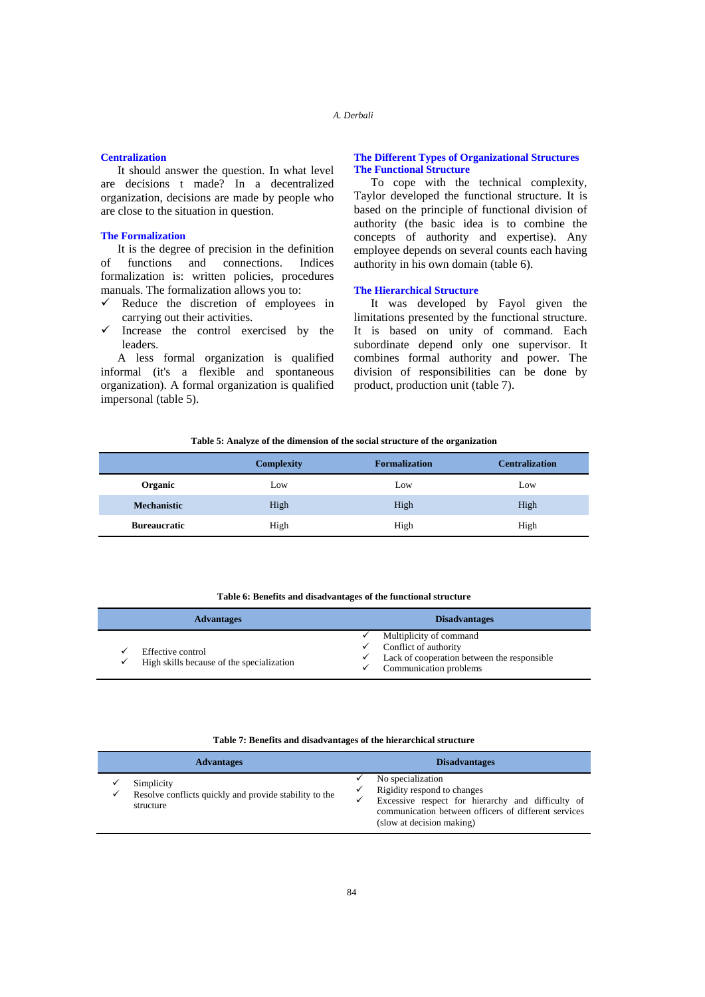## **Centralization**

It should answer the question. In what level are decisions t made? In a decentralized organization, decisions are made by people who are close to the situation in question.

### **The Formalization**

It is the degree of precision in the definition of functions and connections. Indices formalization is: written policies, procedures manuals. The formalization allows you to:

- $\checkmark$  Reduce the discretion of employees in carrying out their activities.
- Increase the control exercised by the leaders.

A less formal organization is qualified informal (it's a flexible and spontaneous organization). A formal organization is qualified impersonal (table 5).

## **The Different Types of Organizational Structures The Functional Structure**

To cope with the technical complexity, Taylor developed the functional structure. It is based on the principle of functional division of authority (the basic idea is to combine the concepts of authority and expertise). Any employee depends on several counts each having authority in his own domain (table 6).

## **The Hierarchical Structure**

It was developed by Fayol given the limitations presented by the functional structure. It is based on unity of command. Each subordinate depend only one supervisor. It combines formal authority and power. The division of responsibilities can be done by product, production unit (table 7).

### **Table 5: Analyze of the dimension of the social structure of the organization**

|                     | <b>Complexity</b> | <b>Formalization</b> | <b>Centralization</b> |
|---------------------|-------------------|----------------------|-----------------------|
| Organic             | Low               | Low                  | Low                   |
| <b>Mechanistic</b>  | High              | High                 | High                  |
| <b>Bureaucratic</b> | High              | High                 | High                  |

#### **Table 6: Benefits and disadvantages of the functional structure**

| <b>Advantages</b>                                              | <b>Disadvantages</b>                                                                                                           |
|----------------------------------------------------------------|--------------------------------------------------------------------------------------------------------------------------------|
| Effective control<br>High skills because of the specialization | Multiplicity of command<br>Conflict of authority<br>Lack of cooperation between the responsible<br>✓<br>Communication problems |

### **Table 7: Benefits and disadvantages of the hierarchical structure**

|   | <b>Advantages</b>                                                                 | <b>Disadvantages</b>                                                                                                                                                                       |
|---|-----------------------------------------------------------------------------------|--------------------------------------------------------------------------------------------------------------------------------------------------------------------------------------------|
| ✓ | Simplicity<br>Resolve conflicts quickly and provide stability to the<br>structure | No specialization<br>Rigidity respond to changes<br>Excessive respect for hierarchy and difficulty of<br>communication between officers of different services<br>(slow at decision making) |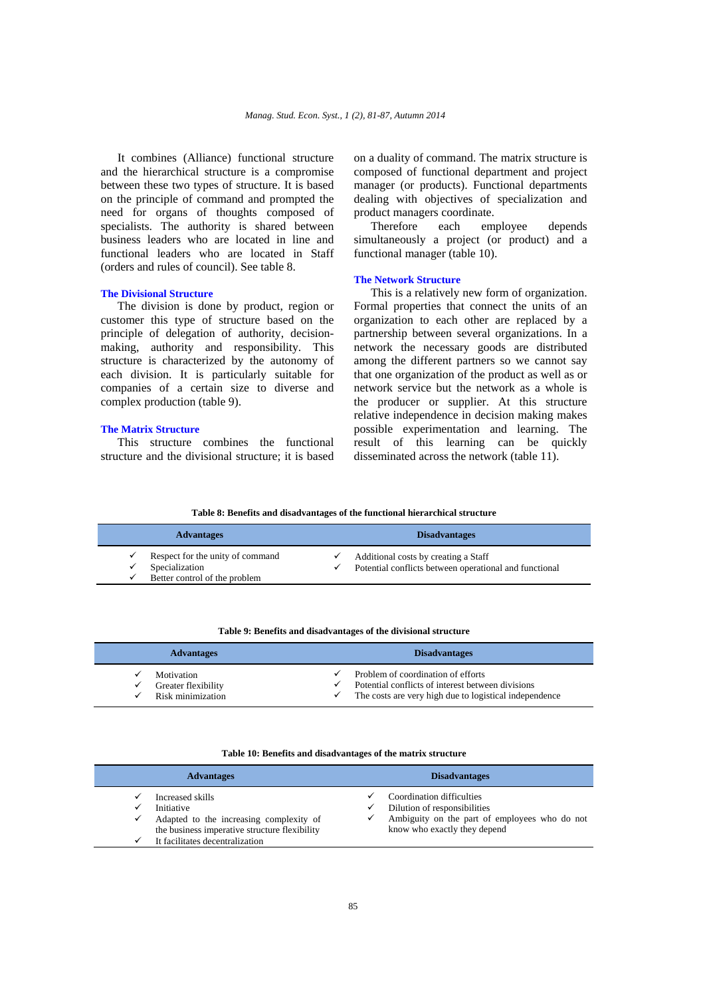It combines (Alliance) functional structure and the hierarchical structure is a compromise between these two types of structure. It is based on the principle of command and prompted the need for organs of thoughts composed of specialists. The authority is shared between business leaders who are located in line and functional leaders who are located in Staff (orders and rules of council). See table 8.

### **The Divisional Structure**

The division is done by product, region or customer this type of structure based on the principle of delegation of authority, decisionmaking, authority and responsibility. This structure is characterized by the autonomy of each division. It is particularly suitable for companies of a certain size to diverse and complex production (table 9).

## **The Matrix Structure**

This structure combines the functional structure and the divisional structure; it is based on a duality of command. The matrix structure is composed of functional department and project manager (or products). Functional departments dealing with objectives of specialization and product managers coordinate.

Therefore each employee depends simultaneously a project (or product) and a functional manager (table 10).

## **The Network Structure**

This is a relatively new form of organization. Formal properties that connect the units of an organization to each other are replaced by a partnership between several organizations. In a network the necessary goods are distributed among the different partners so we cannot say that one organization of the product as well as or network service but the network as a whole is the producer or supplier. At this structure relative independence in decision making makes possible experimentation and learning. The result of this learning can be quickly disseminated across the network (table 11).

**Table 8: Benefits and disadvantages of the functional hierarchical structure** 

| <b>Advantages</b>                                                                   |   | <b>Disadvantages</b>                                                                           |
|-------------------------------------------------------------------------------------|---|------------------------------------------------------------------------------------------------|
| Respect for the unity of command<br>Specialization<br>Better control of the problem | ✓ | Additional costs by creating a Staff<br>Potential conflicts between operational and functional |

## **Table 9: Benefits and disadvantages of the divisional structure**

| <b>Advantages</b>                                                           | <b>Disadvantages</b>                                                                                                                                              |  |
|-----------------------------------------------------------------------------|-------------------------------------------------------------------------------------------------------------------------------------------------------------------|--|
| Motivation<br>Greater flexibility<br>✓<br>Risk minimization<br>$\checkmark$ | Problem of coordination of efforts<br>Potential conflicts of interest between divisions<br>$\checkmark$<br>The costs are very high due to logistical independence |  |

### **Table 10: Benefits and disadvantages of the matrix structure**

| <b>Advantages</b>                                                                                                                                                  | <b>Disadvantages</b>                                                                                                                            |  |
|--------------------------------------------------------------------------------------------------------------------------------------------------------------------|-------------------------------------------------------------------------------------------------------------------------------------------------|--|
| Increased skills<br>Initiative<br>Adapted to the increasing complexity of<br>✓<br>the business imperative structure flexibility<br>It facilitates decentralization | Coordination difficulties<br>Dilution of responsibilities<br>✓<br>Ambiguity on the part of employees who do not<br>know who exactly they depend |  |
|                                                                                                                                                                    |                                                                                                                                                 |  |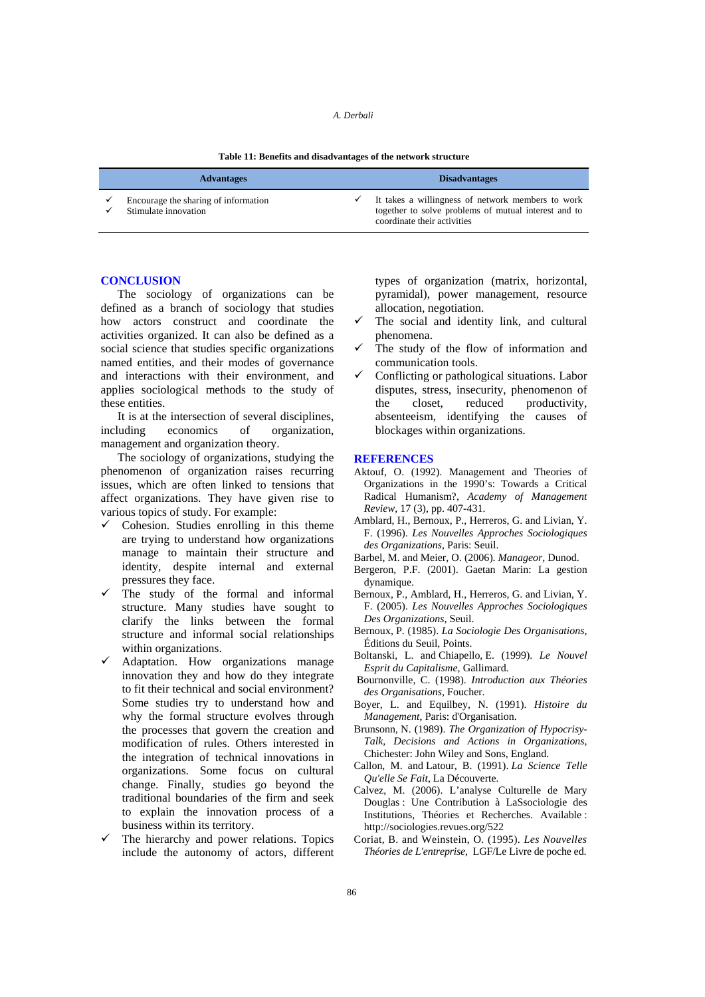## *A. Derbali*

| Table 11: Benefits and disadvantages of the network structure |  |  |  |  |  |  |  |
|---------------------------------------------------------------|--|--|--|--|--|--|--|
|---------------------------------------------------------------|--|--|--|--|--|--|--|

| <b>Advantages</b>                                            | <b>Disadvantages</b>                                                                                                                     |
|--------------------------------------------------------------|------------------------------------------------------------------------------------------------------------------------------------------|
| Encourage the sharing of information<br>Stimulate innovation | It takes a willingness of network members to work<br>together to solve problems of mutual interest and to<br>coordinate their activities |

## **CONCLUSION**

The sociology of organizations can be defined as a branch of sociology that studies how actors construct and coordinate the activities organized. It can also be defined as a social science that studies specific organizations named entities, and their modes of governance and interactions with their environment, and applies sociological methods to the study of these entities.

It is at the intersection of several disciplines, including economics of organization, management and organization theory.

The sociology of organizations, studying the phenomenon of organization raises recurring issues, which are often linked to tensions that affect organizations. They have given rise to various topics of study. For example:

- $\checkmark$  Cohesion. Studies enrolling in this theme are trying to understand how organizations manage to maintain their structure and identity, despite internal and external pressures they face.
- $\checkmark$  The study of the formal and informal structure. Many studies have sought to clarify the links between the formal structure and informal social relationships within organizations.
- Adaptation. How organizations manage innovation they and how do they integrate to fit their technical and social environment? Some studies try to understand how and why the formal structure evolves through the processes that govern the creation and modification of rules. Others interested in the integration of technical innovations in organizations. Some focus on cultural change. Finally, studies go beyond the traditional boundaries of the firm and seek to explain the innovation process of a business within its territory.
- The hierarchy and power relations. Topics include the autonomy of actors, different

types of organization (matrix, horizontal, pyramidal), power management, resource allocation, negotiation.

- The social and identity link, and cultural phenomena.
- The study of the flow of information and communication tools.
- Conflicting or pathological situations. Labor disputes, stress, insecurity, phenomenon of the closet, reduced productivity, absenteeism, identifying the causes of blockages within organizations.

## **REFERENCES**

- Aktouf, O. (1992). Management and Theories of Organizations in the 1990's: Towards a Critical Radical Humanism?, *Academy of Management Review*, 17 (3), pp. 407-431.
- Amblard, H., Bernoux, P., Herreros, G. and Livian, Y. F. (1996). *Les Nouvelles Approches Sociologiques des Organizations*, Paris: Seuil.
- Barbel, M. and Meier, O. (2006). *Manageor*, Dunod.
- Bergeron, P.F. (2001). Gaetan Marin: La gestion dynamique.
- Bernoux, P., Amblard, H., Herreros, G. and Livian, Y. F. (2005). *Les Nouvelles Approches Sociologiques Des Organizations*, Seuil.
- Bernoux, P. (1985). *La Sociologie Des Organisations*, Éditions du Seuil, Points.
- Boltanski, L. and Chiapello, E. (1999). *Le Nouvel Esprit du Capitalisme*, Gallimard.
- Bournonville, C. (1998). *Introduction aux Théories des Organisations*, Foucher.
- Boyer, L. and Equilbey, N. (1991). *Histoire du Management*, Paris: d'Organisation.
- Brunsonn, N. (1989). *The Organization of Hypocrisy-Talk, Decisions and Actions in Organizations*, Chichester: John Wiley and Sons, England.
- Callon, M. and Latour, B. (1991). *La Science Telle Qu'elle Se Fait*, La Découverte.
- Calvez, M. (2006). L'analyse Culturelle de Mary Douglas : Une Contribution à LaSsociologie des Institutions, Théories et Recherches. Available : http://sociologies.revues.org/522
- Coriat, B. and Weinstein, O. (1995). *Les Nouvelles Théories de L'entreprise*, LGF/Le Livre de poche ed.